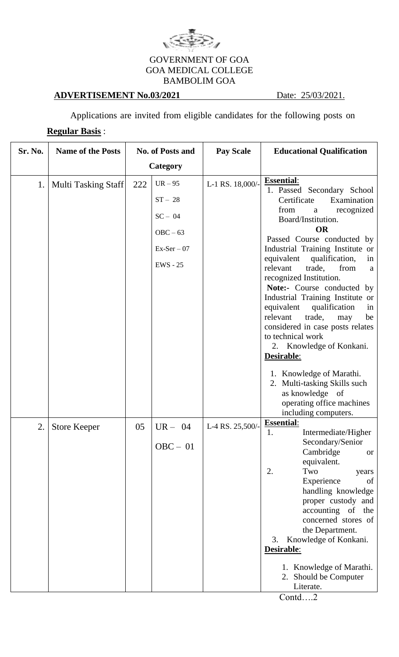

## GOVERNMENT OF GOA GOA MEDICAL COLLEGE BAMBOLIM GOA

## **ADVERTISEMENT No.03/2021** Date: 25/03/2021.

Applications are invited from eligible candidates for the following posts on

## **Regular Basis** :

| Sr. No. | <b>Name of the Posts</b> | <b>No. of Posts and</b> |                                                                            | <b>Pay Scale</b> | <b>Educational Qualification</b>                                                                                                                                                                                                                                                                                                                                                                                                                                                                                                                                                           |
|---------|--------------------------|-------------------------|----------------------------------------------------------------------------|------------------|--------------------------------------------------------------------------------------------------------------------------------------------------------------------------------------------------------------------------------------------------------------------------------------------------------------------------------------------------------------------------------------------------------------------------------------------------------------------------------------------------------------------------------------------------------------------------------------------|
|         |                          | Category                |                                                                            |                  |                                                                                                                                                                                                                                                                                                                                                                                                                                                                                                                                                                                            |
| 1.      | Multi Tasking Staff      | 222                     | $UR-95$<br>$ST-28$<br>$SC - 04$<br>$OBC - 63$<br>$Ex-Ser-07$<br>$EWS - 25$ | L-1 RS. 18,000/- | <b>Essential:</b><br>1. Passed Secondary School<br>Certificate<br>Examination<br>from<br>recognized<br>a<br>Board/Institution.<br><b>OR</b><br>Passed Course conducted by<br>Industrial Training Institute or<br>equivalent<br>qualification,<br>in<br>relevant<br>trade,<br>from<br>a<br>recognized Institution.<br>Note:- Course conducted by<br>Industrial Training Institute or<br>qualification<br>equivalent<br>in<br>trade,<br>relevant<br>may<br>be<br>considered in case posts relates<br>to technical work<br>2. Knowledge of Konkani.<br>Desirable:<br>1. Knowledge of Marathi. |
| 2.      | <b>Store Keeper</b>      | 05                      | $UR - 04$<br>$OBC - 01$                                                    | L-4 RS. 25,500/- | 2. Multi-tasking Skills such<br>as knowledge of<br>operating office machines<br>including computers.<br><b>Essential:</b><br>Intermediate/Higher<br>Secondary/Senior<br>Cambridge<br><b>or</b><br>equivalent.<br>2.<br>Two<br>years<br>Experience<br>of<br>handling knowledge<br>proper custody and<br>accounting of the<br>concerned stores of<br>the Department.<br>Knowledge of Konkani.<br>3.<br>Desirable:<br>1. Knowledge of Marathi.<br>2. Should be Computer<br>Literate.                                                                                                          |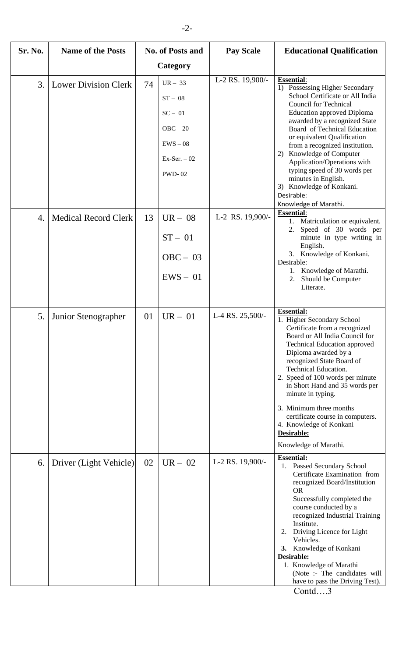| Sr. No. | <b>Name of the Posts</b>    | <b>No. of Posts and</b> |                                                                                                   | <b>Pay Scale</b> | <b>Educational Qualification</b>                                                                                                                                                                                                                                                                                                                                                                                                                                                   |
|---------|-----------------------------|-------------------------|---------------------------------------------------------------------------------------------------|------------------|------------------------------------------------------------------------------------------------------------------------------------------------------------------------------------------------------------------------------------------------------------------------------------------------------------------------------------------------------------------------------------------------------------------------------------------------------------------------------------|
|         |                             | Category                |                                                                                                   |                  |                                                                                                                                                                                                                                                                                                                                                                                                                                                                                    |
| 3.      | <b>Lower Division Clerk</b> | 74                      | $UR - 33$<br>$ST - 08$<br>$SC - 01$<br>$OBC - 20$<br>$EWS - 08$<br>$Ex-Ser. -02$<br><b>PWD-02</b> | L-2 RS. 19,900/- | <b>Essential:</b><br>1) Possessing Higher Secondary<br>School Certificate or All India<br><b>Council for Technical</b><br><b>Education approved Diploma</b><br>awarded by a recognized State<br>Board of Technical Education<br>or equivalent Qualification<br>from a recognized institution.<br>2) Knowledge of Computer<br>Application/Operations with<br>typing speed of 30 words per<br>minutes in English.<br>3) Knowledge of Konkani.<br>Desirable:<br>Knowledge of Marathi. |
| 4.      | <b>Medical Record Clerk</b> | 13                      | $UR - 08$<br>$ST - 01$<br>$OBC - 03$<br>$EWS - 01$                                                | L-2 RS. 19,900/- | <b>Essential:</b><br>1. Matriculation or equivalent.<br>Speed of 30 words per<br>2.<br>minute in type writing in<br>English.<br>3. Knowledge of Konkani.<br>Desirable:<br>1. Knowledge of Marathi.<br>2. Should be Computer<br>Literate.                                                                                                                                                                                                                                           |
| 5.      | Junior Stenographer         | 01                      | $UR - 01$                                                                                         | L-4 RS. 25,500/- | <b>Essential:</b><br>1. Higher Secondary School<br>Certificate from a recognized<br>Board or All India Council for<br><b>Technical Education approved</b><br>Diploma awarded by a<br>recognized State Board of<br>Technical Education.<br>2. Speed of 100 words per minute<br>in Short Hand and 35 words per<br>minute in typing.<br>3. Minimum three months<br>certificate course in computers.<br>4. Knowledge of Konkani<br>Desirable:<br>Knowledge of Marathi.                 |
| 6.      | Driver (Light Vehicle)      | 02                      | $UR - 02$                                                                                         | L-2 RS. 19,900/- | <b>Essential:</b><br>1. Passed Secondary School<br>Certificate Examination from<br>recognized Board/Institution<br><b>OR</b><br>Successfully completed the<br>course conducted by a<br>recognized Industrial Training<br>Institute.<br>Driving Licence for Light<br>2.<br>Vehicles.<br>3. Knowledge of Konkani<br>Desirable:<br>1. Knowledge of Marathi<br>(Note :- The candidates will<br>have to pass the Driving Test).                                                         |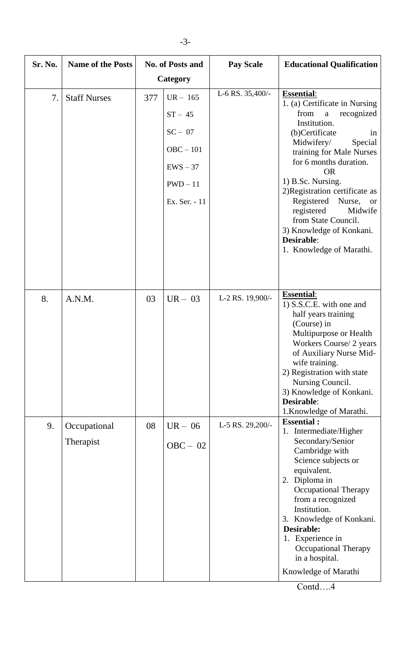| Sr. No. | <b>Name of the Posts</b>  | <b>No. of Posts and</b> |                                                                                                | <b>Pay Scale</b> | <b>Educational Qualification</b>                                                                                                                                                                                                                                                                                                                                                                                                 |
|---------|---------------------------|-------------------------|------------------------------------------------------------------------------------------------|------------------|----------------------------------------------------------------------------------------------------------------------------------------------------------------------------------------------------------------------------------------------------------------------------------------------------------------------------------------------------------------------------------------------------------------------------------|
|         |                           | Category                |                                                                                                |                  |                                                                                                                                                                                                                                                                                                                                                                                                                                  |
| 7.      | <b>Staff Nurses</b>       | 377                     | $UR - 165$<br>$ST - 45$<br>$SC - 07$<br>$OBC - 101$<br>$EWS - 37$<br>$PWD-11$<br>Ex. Ser. - 11 | L-6 RS. 35,400/- | <b>Essential:</b><br>1. (a) Certificate in Nursing<br>from<br>recognized<br>$\mathbf{a}$<br>Institution.<br>(b)Certificate<br>in<br>Midwifery/<br>Special<br>training for Male Nurses<br>for 6 months duration.<br><b>OR</b><br>1) B.Sc. Nursing.<br>2)Registration certificate as<br>Registered Nurse, or<br>registered<br>Midwife<br>from State Council.<br>3) Knowledge of Konkani.<br>Desirable:<br>1. Knowledge of Marathi. |
| 8.      | A.N.M.                    | 03                      | $UR - 03$                                                                                      | L-2 RS. 19,900/- | <b>Essential:</b><br>1) S.S.C.E. with one and<br>half years training<br>(Course) in<br>Multipurpose or Health<br>Workers Course/ 2 years<br>of Auxiliary Nurse Mid-<br>wife training.<br>2) Registration with state<br>Nursing Council.<br>3) Knowledge of Konkani.<br><b>Desirable:</b><br>1. Knowledge of Marathi.                                                                                                             |
| 9.      | Occupational<br>Therapist | 08                      | $UR - 06$<br>$OBC - 02$                                                                        | L-5 RS. 29,200/- | <b>Essential:</b><br>1. Intermediate/Higher<br>Secondary/Senior<br>Cambridge with<br>Science subjects or<br>equivalent.<br>2. Diploma in<br><b>Occupational Therapy</b><br>from a recognized<br>Institution.<br>3. Knowledge of Konkani.<br><b>Desirable:</b><br>1. Experience in<br><b>Occupational Therapy</b><br>in a hospital.<br>Knowledge of Marathi                                                                       |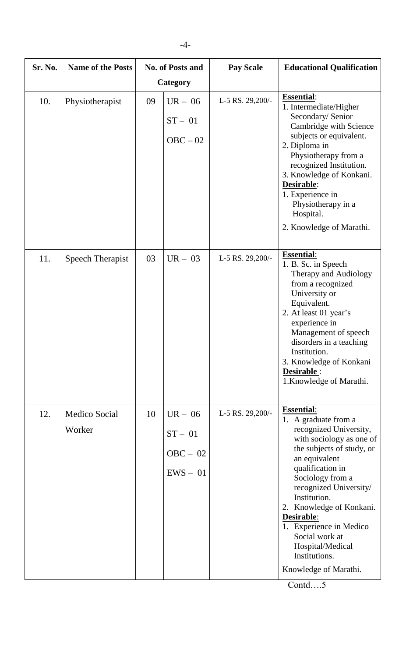| Sr. No. | <b>Name of the Posts</b> | <b>No. of Posts and</b><br>Category |                                                    |                  |                                                                                                                                                                                                                                                                                                                                                                                      | <b>Pay Scale</b> | <b>Educational Qualification</b> |
|---------|--------------------------|-------------------------------------|----------------------------------------------------|------------------|--------------------------------------------------------------------------------------------------------------------------------------------------------------------------------------------------------------------------------------------------------------------------------------------------------------------------------------------------------------------------------------|------------------|----------------------------------|
| 10.     | Physiotherapist          | 09                                  | $UR - 06$<br>$ST - 01$<br>$OBC - 02$               | L-5 RS. 29,200/- | <b>Essential:</b><br>1. Intermediate/Higher<br>Secondary/ Senior<br>Cambridge with Science<br>subjects or equivalent.<br>2. Diploma in<br>Physiotherapy from a<br>recognized Institution.<br>3. Knowledge of Konkani.<br>Desirable:<br>1. Experience in<br>Physiotherapy in a<br>Hospital.<br>2. Knowledge of Marathi.                                                               |                  |                                  |
| 11.     | Speech Therapist         | 03                                  | $UR - 03$                                          | L-5 RS. 29,200/- | <b>Essential:</b><br>1. B. Sc. in Speech<br>Therapy and Audiology<br>from a recognized<br>University or<br>Equivalent.<br>2. At least 01 year's<br>experience in<br>Management of speech<br>disorders in a teaching<br>Institution.<br>3. Knowledge of Konkani<br>Desirable :<br>1. Knowledge of Marathi.                                                                            |                  |                                  |
| 12.     | Medico Social<br>Worker  | 10                                  | $UR - 06$<br>$ST - 01$<br>$OBC - 02$<br>$EWS - 01$ | L-5 RS. 29,200/- | <b>Essential:</b><br>1. A graduate from a<br>recognized University,<br>with sociology as one of<br>the subjects of study, or<br>an equivalent<br>qualification in<br>Sociology from a<br>recognized University/<br>Institution.<br>2. Knowledge of Konkani.<br>Desirable:<br>1. Experience in Medico<br>Social work at<br>Hospital/Medical<br>Institutions.<br>Knowledge of Marathi. |                  |                                  |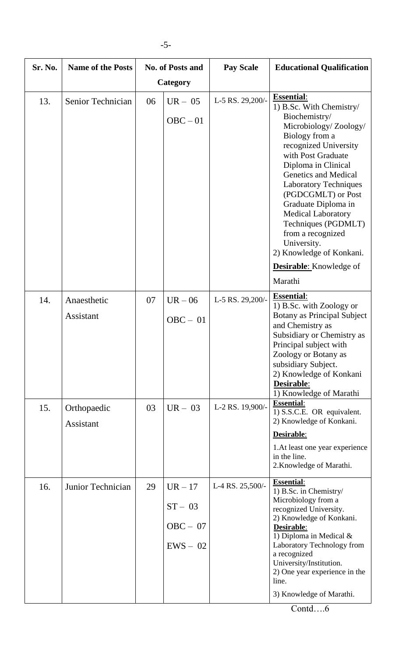| Sr. No. | <b>Name of the Posts</b> | <b>No. of Posts and</b><br>Category |                                                  | <b>Pay Scale</b> | <b>Educational Qualification</b>                                                                                                                                                                                                                                                                                                                                                                                                                             |
|---------|--------------------------|-------------------------------------|--------------------------------------------------|------------------|--------------------------------------------------------------------------------------------------------------------------------------------------------------------------------------------------------------------------------------------------------------------------------------------------------------------------------------------------------------------------------------------------------------------------------------------------------------|
| 13.     | Senior Technician        | 06                                  | $UR - 05$<br>$OBC - 01$                          | L-5 RS. 29,200/- | <b>Essential:</b><br>1) B.Sc. With Chemistry/<br>Biochemistry/<br>Microbiology/Zoology/<br>Biology from a<br>recognized University<br>with Post Graduate<br>Diploma in Clinical<br><b>Genetics and Medical</b><br><b>Laboratory Techniques</b><br>(PGDCGMLT) or Post<br>Graduate Diploma in<br><b>Medical Laboratory</b><br>Techniques (PGDMLT)<br>from a recognized<br>University.<br>2) Knowledge of Konkani.<br><b>Desirable:</b> Knowledge of<br>Marathi |
| 14.     | Anaesthetic<br>Assistant | 07                                  | $UR - 06$<br>$OBC - 01$                          | L-5 RS. 29,200/- | <b>Essential:</b><br>1) B.Sc. with Zoology or<br><b>Botany as Principal Subject</b><br>and Chemistry as<br>Subsidiary or Chemistry as<br>Principal subject with<br>Zoology or Botany as<br>subsidiary Subject.<br>2) Knowledge of Konkani<br>Desirable:<br>1) Knowledge of Marathi                                                                                                                                                                           |
| 15.     | Orthopaedic<br>Assistant | 03                                  | $UR - 03$                                        | L-2 RS. 19,900/- | <b>Essential:</b><br>1) S.S.C.E. OR equivalent.<br>2) Knowledge of Konkani.<br>Desirable:<br>1. At least one year experience<br>in the line.<br>2. Knowledge of Marathi.                                                                                                                                                                                                                                                                                     |
| 16.     | Junior Technician        | 29                                  | $UR-17$<br>$ST - 03$<br>$OBC - 07$<br>$EWS - 02$ | L-4 RS. 25,500/- | <b>Essential:</b><br>1) B.Sc. in Chemistry/<br>Microbiology from a<br>recognized University.<br>2) Knowledge of Konkani.<br>Desirable:<br>1) Diploma in Medical $&$<br>Laboratory Technology from<br>a recognized<br>University/Institution.<br>2) One year experience in the<br>line.<br>3) Knowledge of Marathi.                                                                                                                                           |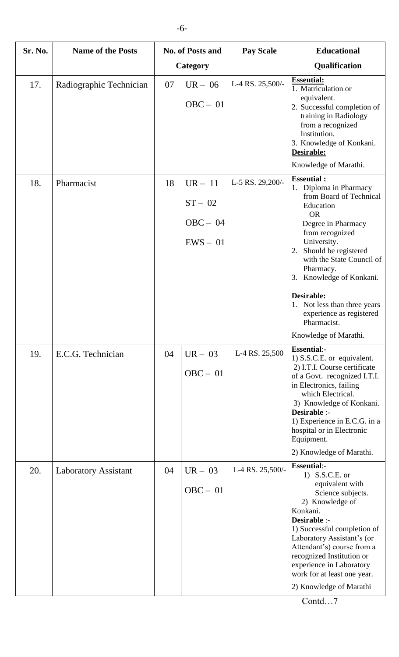| Sr. No. | <b>Name of the Posts</b>    | <b>No. of Posts and</b> |                                                    | <b>Pay Scale</b> | <b>Educational</b>                                                                                                                                                                                                                                                                                                                                                                 |
|---------|-----------------------------|-------------------------|----------------------------------------------------|------------------|------------------------------------------------------------------------------------------------------------------------------------------------------------------------------------------------------------------------------------------------------------------------------------------------------------------------------------------------------------------------------------|
|         |                             |                         | Category                                           |                  | Qualification                                                                                                                                                                                                                                                                                                                                                                      |
| 17.     | Radiographic Technician     | 07                      | $UR - 06$<br>$OBC - 01$                            | L-4 RS. 25,500/- | <b>Essential:</b><br>1. Matriculation or<br>equivalent.<br>2. Successful completion of<br>training in Radiology<br>from a recognized<br>Institution.<br>3. Knowledge of Konkani.<br>Desirable:<br>Knowledge of Marathi.                                                                                                                                                            |
| 18.     | Pharmacist                  | 18                      | $UR - 11$<br>$ST - 02$<br>$OBC - 04$<br>$EWS - 01$ | L-5 RS. 29,200/- | <b>Essential:</b><br>1. Diploma in Pharmacy<br>from Board of Technical<br>Education<br><b>OR</b><br>Degree in Pharmacy<br>from recognized<br>University.<br>2. Should be registered<br>with the State Council of<br>Pharmacy.<br>3. Knowledge of Konkani.<br><b>Desirable:</b><br>1. Not less than three years<br>experience as registered<br>Pharmacist.<br>Knowledge of Marathi. |
| 19.     | E.C.G. Technician           | 04                      | $UR - 03$<br>$OBC - 01$                            | L-4 RS. 25,500   | <b>Essential:-</b><br>1) S.S.C.E. or equivalent.<br>2) I.T.I. Course certificate<br>of a Govt. recognized I.T.I.<br>in Electronics, failing<br>which Electrical.<br>3) Knowledge of Konkani.<br>Desirable :-<br>1) Experience in E.C.G. in a<br>hospital or in Electronic<br>Equipment.<br>2) Knowledge of Marathi.                                                                |
| 20.     | <b>Laboratory Assistant</b> | 04                      | $UR - 03$<br>$OBC - 01$                            | L-4 RS. 25,500/- | <b>Essential:-</b><br>1) S.S.C.E. or<br>equivalent with<br>Science subjects.<br>2) Knowledge of<br>Konkani.<br>Desirable :-<br>1) Successful completion of<br>Laboratory Assistant's (or<br>Attendant's) course from a<br>recognized Institution or<br>experience in Laboratory<br>work for at least one year.<br>2) Knowledge of Marathi                                          |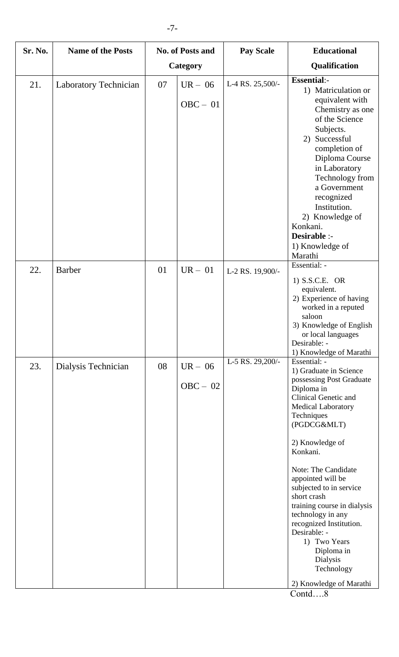| Sr. No. | <b>Name of the Posts</b>     | <b>No. of Posts and</b> |                         | <b>Pay Scale</b> | <b>Educational</b>                                                                                                                                                                                                                                                                                                                                                                                                                                                               |
|---------|------------------------------|-------------------------|-------------------------|------------------|----------------------------------------------------------------------------------------------------------------------------------------------------------------------------------------------------------------------------------------------------------------------------------------------------------------------------------------------------------------------------------------------------------------------------------------------------------------------------------|
|         |                              | Category                |                         |                  | Qualification                                                                                                                                                                                                                                                                                                                                                                                                                                                                    |
| 21.     | <b>Laboratory Technician</b> | 07                      | $UR - 06$<br>$OBC - 01$ | L-4 RS. 25,500/- | <b>Essential:-</b><br>1) Matriculation or<br>equivalent with<br>Chemistry as one<br>of the Science<br>Subjects.<br>Successful<br>2)<br>completion of<br>Diploma Course<br>in Laboratory<br>Technology from<br>a Government<br>recognized<br>Institution.<br>2) Knowledge of<br>Konkani.<br>Desirable :-<br>1) Knowledge of<br>Marathi                                                                                                                                            |
| 22.     | <b>Barber</b>                | 01                      | $UR - 01$               | L-2 RS. 19,900/- | Essential: -<br>$1)$ S.S.C.E. OR<br>equivalent.<br>2) Experience of having<br>worked in a reputed<br>saloon<br>3) Knowledge of English<br>or local languages<br>Desirable: -<br>1) Knowledge of Marathi                                                                                                                                                                                                                                                                          |
| 23.     | Dialysis Technician          | 08                      | $UR - 06$<br>$OBC - 02$ | L-5 RS. 29,200/- | Essential: -<br>1) Graduate in Science<br>possessing Post Graduate<br>Diploma in<br><b>Clinical Genetic and</b><br><b>Medical Laboratory</b><br>Techniques<br>(PGDCG&MLT)<br>2) Knowledge of<br>Konkani.<br>Note: The Candidate<br>appointed will be<br>subjected to in service<br>short crash<br>training course in dialysis<br>technology in any<br>recognized Institution.<br>Desirable: -<br>1) Two Years<br>Diploma in<br>Dialysis<br>Technology<br>2) Knowledge of Marathi |